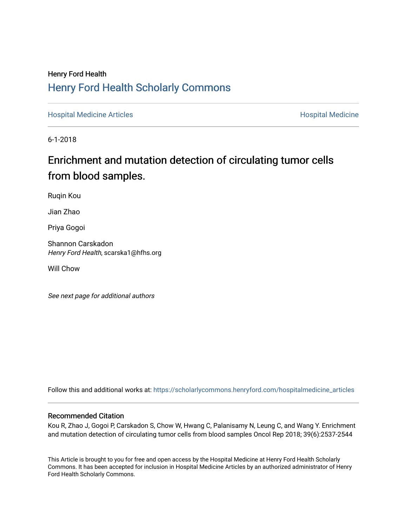## Henry Ford Health [Henry Ford Health Scholarly Commons](https://scholarlycommons.henryford.com/)

[Hospital Medicine Articles](https://scholarlycommons.henryford.com/hospitalmedicine_articles) **Hospital Medicine** 

6-1-2018

# Enrichment and mutation detection of circulating tumor cells from blood samples.

Ruqin Kou

Jian Zhao

Priya Gogoi

Shannon Carskadon Henry Ford Health, scarska1@hfhs.org

Will Chow

See next page for additional authors

Follow this and additional works at: [https://scholarlycommons.henryford.com/hospitalmedicine\\_articles](https://scholarlycommons.henryford.com/hospitalmedicine_articles?utm_source=scholarlycommons.henryford.com%2Fhospitalmedicine_articles%2F16&utm_medium=PDF&utm_campaign=PDFCoverPages)

### Recommended Citation

Kou R, Zhao J, Gogoi P, Carskadon S, Chow W, Hwang C, Palanisamy N, Leung C, and Wang Y. Enrichment and mutation detection of circulating tumor cells from blood samples Oncol Rep 2018; 39(6):2537-2544

This Article is brought to you for free and open access by the Hospital Medicine at Henry Ford Health Scholarly Commons. It has been accepted for inclusion in Hospital Medicine Articles by an authorized administrator of Henry Ford Health Scholarly Commons.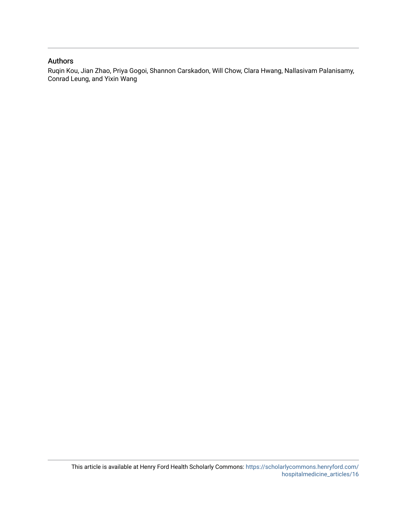### Authors

Ruqin Kou, Jian Zhao, Priya Gogoi, Shannon Carskadon, Will Chow, Clara Hwang, Nallasivam Palanisamy, Conrad Leung, and Yixin Wang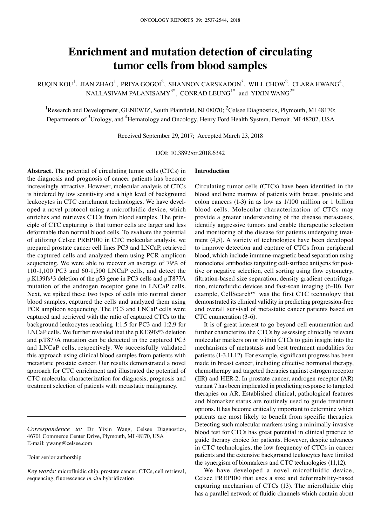# **Enrichment and mutation detection of circulating tumor cells from blood samples**

RUQIN KOU<sup>1</sup>, JIAN ZHAO<sup>1</sup>, PRIYA GOGOI<sup>2</sup>, SHANNON CARSKADON<sup>3</sup>, WILL CHOW<sup>2</sup>, CLARA HWANG<sup>4</sup>, NALLASIVAM PALANISAMY $^{3^*}$ , CONRAD LEUNG $^{1^*}$  and YIXIN WANG $^{2^*}$ 

<sup>1</sup>Research and Development, GENEWIZ, South Plainfield, NJ 08070; <sup>2</sup>Celsee Diagnostics, Plymouth, MI 48170; Departments of <sup>3</sup>Urology, and <sup>4</sup>Hematology and Oncology, Henry Ford Health System, Detroit, MI 48202, USA

Received September 29, 2017; Accepted March 23, 2018

DOI: 10.3892/or.2018.6342

**Abstract.** The potential of circulating tumor cells (CTCs) in the diagnosis and prognosis of cancer patients has become increasingly attractive. However, molecular analysis of CTCs is hindered by low sensitivity and a high level of background leukocytes in CTC enrichment technologies. We have developed a novel protocol using a microfluidic device, which enriches and retrieves CTCs from blood samples. The principle of CTC capturing is that tumor cells are larger and less deformable than normal blood cells. To evaluate the potential of utilizing Celsee PREP100 in CTC molecular analysis, we prepared prostate cancer cell lines PC3 and LNCaP, retrieved the captured cells and analyzed them using PCR amplicon sequencing. We were able to recover an average of 79% of 110-1,100 PC3 and 60-1,500 LNCaP cells, and detect the p.K139fs\*3 deletion of the p53 gene in PC3 cells and p.T877A mutation of the androgen receptor gene in LNCaP cells. Next, we spiked these two types of cells into normal donor blood samples, captured the cells and analyzed them using PCR amplicon sequencing. The PC3 and LNCaP cells were captured and retrieved with the ratio of captured CTCs to the background leukocytes reaching 1:1.5 for PC3 and 1:2.9 for LNCaP cells. We further revealed that the p.K139fs\*3 deletion and p.T877A mutation can be detected in the captured PC3 and LNCaP cells, respectively. We successfully validated this approach using clinical blood samples from patients with metastatic prostate cancer. Our results demonstrated a novel approach for CTC enrichment and illustrated the potential of CTC molecular characterization for diagnosis, prognosis and treatment selection of patients with metastatic malignancy.

\* Joint senior authorship

*Key words:* microfluidic chip, prostate cancer, CTCs, cell retrieval, sequencing, fluorescence *in situ* hybridization

### **Introduction**

Circulating tumor cells (CTCs) have been identified in the blood and bone marrow of patients with breast, prostate and colon cancers (1-3) in as low as 1/100 million or 1 billion blood cells. Molecular characterization of CTCs may provide a greater understanding of the disease metastases, identify aggressive tumors and enable therapeutic selection and monitoring of the disease for patients undergoing treatment (4,5). A variety of technologies have been developed to improve detection and capture of CTCs from peripheral blood, which include immune-magnetic bead separation using monoclonal antibodies targeting cell-surface antigens for positive or negative selection, cell sorting using flow cytometry, filtration-based size separation, density gradient centrifugation, microfluidic devices and fast-scan imaging (6-10). For example, CellSearch™ was the first CTC technology that demonstrated its clinical validity in predicting progression-free and overall survival of metastatic cancer patients based on CTC enumeration (3-6).

It is of great interest to go beyond cell enumeration and further characterize the CTCs by assessing clinically relevant molecular markers on or within CTCs to gain insight into the mechanisms of metastasis and best treatment modalities for patients (1‑3,11,12). For example, significant progress has been made in breast cancer, including effective hormonal therapy, chemotherapy and targeted therapies against estrogen receptor (ER) and HER-2. In prostate cancer, androgen receptor (AR) variant 7 has been implicated in predicting response to targeted therapies on AR. Established clinical, pathological features and biomarker status are routinely used to guide treatment options. It has become critically important to determine which patients are most likely to benefit from specific therapies. Detecting such molecular markers using a minimally-invasive blood test for CTCs has great potential in clinical practice to guide therapy choice for patients. However, despite advances in CTC technologies, the low frequency of CTCs in cancer patients and the extensive background leukocytes have limited the synergism of biomarkers and CTC technologies (11,12).

We have developed a novel microfluidic device, Celsee PREP100 that uses a size and deformability-based capturing mechanism of CTCs (13). The microfluidic chip has a parallel network of fluidic channels which contain about

*Correspondence to:* Dr Yixin Wang, Celsee Diagnostics, 46701 Commerce Center Drive, Plymouth, MI 48170, USA E-mail: ywang@celsee.com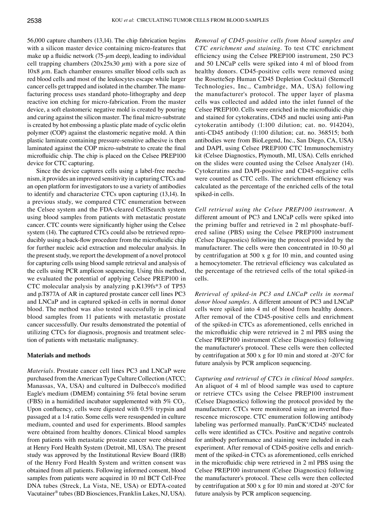56,000 capture chambers (13,14). The chip fabrication begins with a silicon master device containing micro-features that make up a fluidic network (75- $\mu$ m deep), leading to individual cell trapping chambers ( $20x25x30 \mu m$ ) with a pore size of  $10x8 \mu$ m. Each chamber ensures smaller blood cells such as red blood cells and most of the leukocytes escape while larger cancer cells get trapped and isolated in the chamber. The manufacturing process uses standard photo-lithography and deep reactive ion etching for micro‑fabrication. From the master device, a soft elastomeric negative mold is created by pouring and curing against the silicon master. The final micro-substrate is created by hot embossing a plastic plate made of cyclic olefin polymer (COP) against the elastomeric negative mold. A thin plastic laminate containing pressure-sensitive adhesive is then laminated against the COP micro‑substrate to create the final microfluidic chip. The chip is placed on the Celsee PREP100 device for CTC capturing.

Since the device captures cells using a label-free mechanism, it provides an improved sensitivity in capturing CTCs and an open platform for investigators to use a variety of antibodies to identify and characterize CTCs upon capturing (13,14). In a previous study, we compared CTC enumeration between the Celsee system and the FDA‑cleared CellSearch system using blood samples from patients with metastatic prostate cancer. CTC counts were significantly higher using the Celsee system (14). The captured CTCs could also be retrieved reproducibly using a back‑flow procedure from the microfluidic chip for further nucleic acid extraction and molecular analysis. In the present study, we report the development of a novel protocol for capturing cells using blood sample retrieval and analysis of the cells using PCR amplicon sequencing. Using this method, we evaluated the potential of applying Celsee PREP100 in CTC molecular analysis by analyzing p.K139fs\*3 of TP53 and p.T877A of AR in captured prostate cancer cell lines PC3 and LNCaP and in captured spiked-in cells in normal donor blood. The method was also tested successfully in clinical blood samples from 11 patients with metastatic prostate cancer successfully. Our results demonstrated the potential of utilizing CTCs for diagnosis, prognosis and treatment selection of patients with metastatic malignancy.

#### **Materials and methods**

*Materials.* Prostate cancer cell lines PC3 and LNCaP were purchased from the American Type Culture Collection (ATCC; Manassas, VA, USA) and cultured in Dulbecco's modified Eagle's medium (DMEM) containing 5% fetal bovine serum (FBS) in a humidified incubator supplemented with  $5\%$  CO<sub>2</sub>. Upon confluency, cells were digested with 0.5% trypsin and passaged at a 1:4 ratio. Some cells were resuspended in culture medium, counted and used for experiments. Blood samples were obtained from healthy donors. Clinical blood samples from patients with metastatic prostate cancer were obtained at Henry Ford Health System (Detroit, MI, USA). The present study was approved by the Institutional Review Board (IRB) of the Henry Ford Health System and written consent was obtained from all patients. Following informed consent, blood samples from patients were acquired in 10 ml BCT Cell-Free DNA tubes (Streck, La Vista, NE, USA) or EDTA-coated Vacutainer® tubes (BD Biosciences, Franklin Lakes, NJ, USA). *Removal of CD45‑positive cells from blood samples and CTC enrichment and staining.* To test CTC enrichment efficiency using the Celsee PREP100 instrument, 250 PC3 and 50 LNCaP cells were spiked into 4 ml of blood from healthy donors. CD45-positive cells were removed using the RosetteSep Human CD45 Depletion Cocktail (Stemcell Technologies, Inc., Cambridge, MA, USA) following the manufacturer's protocol. The upper layer of plasma cells was collected and added into the inlet funnel of the Celsee PREP100. Cells were enriched in the microfluidic chip and stained for cytokeratins, CD45 and nuclei using anti-Pan cytokeratin antibody (1:100 dilution; cat. no. 914204), anti‑CD45 antibody (1:100 dilution; cat. no. 368515; both antibodies were from BioLegend, Inc., San Diego, CA, USA) and DAPI, using Celsee PREP100 CTC Immunochemistry kit (Celsee Diagnostics, Plymouth, MI, USA). Cells enriched on the slides were counted using the Celsee Analyzer (14). Cytokeratins and DAPI-positive and CD45-negative cells were counted as CTC cells. The enrichment efficiency was calculated as the percentage of the enriched cells of the total spiked-in cells.

*Cell retrieval using the Celsee PREP100 instrument.* A different amount of PC3 and LNCaP cells were spiked into the priming buffer and retrieved in 2 ml phosphate-buffered saline (PBS) using the Celsee PREP100 instrument (Celsee Diagnostics) following the protocol provided by the manufacturer. The cells were then concentrated in 10-50  $\mu$ l by centrifugation at 500 x g for 10 min, and counted using a hemocytometer. The retrieval efficiency was calculated as the percentage of the retrieved cells of the total spiked-in cells.

*Retrieval of spiked‑in PC3 and LNCaP cells in normal donor blood samples.* A different amount of PC3 and LNCaP cells were spiked into 4 ml of blood from healthy donors. After removal of the CD45-positive cells and enrichment of the spiked-in CTCs as aforementioned, cells enriched in the microfluidic chip were retrieved in 2 ml PBS using the Celsee PREP100 instrument (Celsee Diagnostics) following the manufacturer's protocol. These cells were then collected by centrifugation at 500 x g for 10 min and stored at ‑20˚C for future analysis by PCR amplicon sequencing.

*Capturing and retrieval of CTCs in clinical blood samples.*  An aliquot of 4 ml of blood sample was used to capture or retrieve CTCs using the Celsee PREP100 instrument (Celsee Diagnostics) following the protocol provided by the manufacturer. CTCs were monitored using an inverted fluorescence microscope. CTC enumeration following antibody labeling was performed manually. PanCK+ /CD45- nucleated cells were identified as CTCs. Positive and negative controls for antibody performance and staining were included in each experiment. After removal of CD45-positive cells and enrichment of the spiked-in CTCs as aforementioned, cells enriched in the microfluidic chip were retrieved in 2 ml PBS using the Celsee PREP100 instrument (Celsee Diagnostics) following the manufacturer's protocol. These cells were then collected by centrifugation at 500 x g for 10 min and stored at ‑20˚C for future analysis by PCR amplicon sequencing.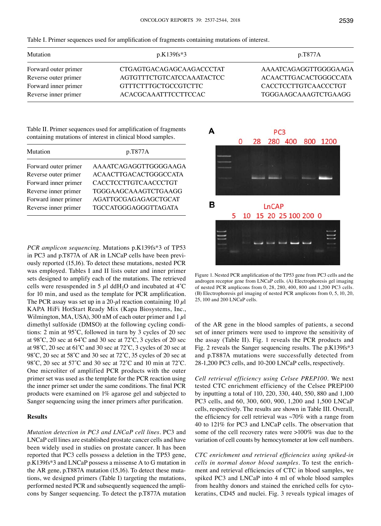|  |  | Table I. Primer sequences used for amplification of fragments containing mutations of interest. |  |  |  |  |  |  |  |
|--|--|-------------------------------------------------------------------------------------------------|--|--|--|--|--|--|--|
|--|--|-------------------------------------------------------------------------------------------------|--|--|--|--|--|--|--|

| Mutation             | p.K139fs*3                  | p.T877A               |
|----------------------|-----------------------------|-----------------------|
| Forward outer primer | CTGAGTGACAGAGCAAGACCCTAT    | AAAATCAGAGGTTGGGGAAGA |
| Reverse outer primer | AGTGTTTCTGTCATCCAAATACTCC   | ACAACTTGACACTGGGCCATA |
| Forward inner primer | GTTTCTTTGCTGCCGTCTTC        | CACCTCCTTGTCAACCCTGT  |
| Reverse inner primer | <b>ACACGCAAATTTCCTTCCAC</b> | TGGGAAGCAAAGTCTGAAGG  |

Table II. Primer sequences used for amplification of fragments containing mutations of interest in clinical blood samples.

| Mutation             | p.T877A               |  |  |  |
|----------------------|-----------------------|--|--|--|
| Forward outer primer | AAAATCAGAGGTTGGGGAAGA |  |  |  |
| Reverse outer primer | ACAACTTGACACTGGGCCATA |  |  |  |
| Forward inner primer | CACCTCCTTGTCAACCCTGT  |  |  |  |
| Reverse inner primer | TGGGAAGCAAAGTCTGAAGG  |  |  |  |
| Forward inner primer | AGATTGCGAGAGAGCTGCAT  |  |  |  |
| Reverse inner primer | TGCCATGGGAGGGTTAGATA  |  |  |  |

*PCR amplicon sequencing.* Mutations p.K139fs\*3 of TP53 in PC3 and p.T877A of AR in LNCaP cells have been previously reported (15,16). To detect these mutations, nested PCR was employed. Tables I and II lists outer and inner primer sets designed to amplify each of the mutations. The retrieved cells were resuspended in 5  $\mu$ l ddH<sub>2</sub>O and incubated at 4<sup>°</sup>C for 10 min, and used as the template for PCR amplification. The PCR assay was set up in a 20- $\mu$ l reaction containing 10  $\mu$ l KAPA HiFi HotStart Ready Mix (Kapa Biosystems, Inc., Wilmington, MA, USA), 300 nM of each outer primer and 1  $\mu$ l dimethyl sulfoxide (DMSO) at the following cycling conditions: 2 min at 95˚C, followed in turn by 3 cycles of 20 sec at 98˚C, 20 sec at 64˚C and 30 sec at 72˚C, 3 cycles of 20 sec at 98˚C, 20 sec at 61˚C and 30 sec at 72˚C, 3 cycles of 20 sec at 98˚C, 20 sec at 58˚C and 30 sec at 72˚C, 35 cycles of 20 sec at 98˚C, 20 sec at 57˚C and 30 sec at 72˚C and 10 min at 72˚C. One microliter of amplified PCR products with the outer primer set was used as the template for the PCR reaction using the inner primer set under the same conditions. The final PCR products were examined on 1% agarose gel and subjected to Sanger sequencing using the inner primers after purification.

### **Results**

*Mutation detection in PC3 and LNCaP cell lines.* PC3 and LNCaP cell lines are established prostate cancer cells and have been widely used in studies on prostate cancer. It has been reported that PC3 cells possess a deletion in the TP53 gene, p.K139fs\*3 and LNCaP possess a missense A to G mutation in the AR gene, p.T887A mutation (15,16). To detect these mutations, we designed primers (Table I) targeting the mutations, performed nested PCR and subsequently sequenced the amplicons by Sanger sequencing. To detect the p.T877A mutation



Figure 1. Nested PCR amplification of the TP53 gene from PC3 cells and the androgen receptor gene from LNCaP cells. (A) Electrophoresis gel imaging of nested PCR amplicons from 0, 28, 280, 400, 800 and 1,200 PC3 cells. (B) Electrophoresis gel imaging of nested PCR amplicons from 0, 5, 10, 20, 25, 100 and 200 LNCaP cells.

of the AR gene in the blood samples of patients, a second set of inner primers were used to improve the sensitivity of the assay (Table II). Fig. 1 reveals the PCR products and Fig. 2 reveals the Sanger sequencing results. The p.K139fs\*3 and p.T887A mutations were successfully detected from 28-1,200 PC3 cells, and 10-200 LNCaP cells, respectively.

*Cell retrieval efficiency using Celsee PREP100.* We next tested CTC enrichment efficiency of the Celsee PREP100 by inputting a total of 110, 220, 330, 440, 550, 880 and 1,100 PC3 cells, and 60, 300, 600, 900, 1,200 and 1,500 LNCaP cells, respectively. The results are shown in Table III. Overall, the efficiency for cell retrieval was  $\sim70\%$  with a range from 40 to 121% for PC3 and LNCaP cells. The observation that some of the cell recovery rates were >100% was due to the variation of cell counts by hemocytometer at low cell numbers.

*CTC enrichment and retrieval efficiencies using spiked‑in cells in normal donor blood samples.* To test the enrichment and retrieval efficiencies of CTC in blood samples, we spiked PC3 and LNCaP into 4 ml of whole blood samples from healthy donors and stained the enriched cells for cytokeratins, CD45 and nuclei. Fig. 3 reveals typical images of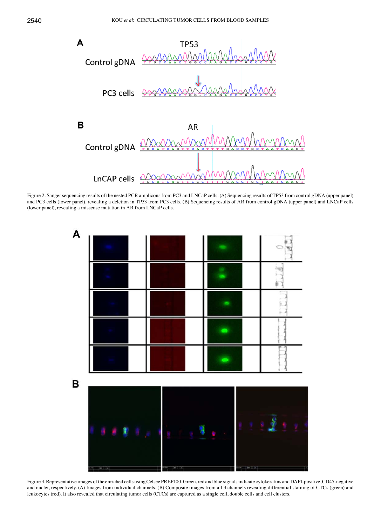

Figure 2. Sanger sequencing results of the nested PCR amplicons from PC3 and LNCaP cells. (A) Sequencing results of TP53 from control gDNA (upper panel) and PC3 cells (lower panel), revealing a deletion in TP53 from PC3 cells. (B) Sequencing results of AR from control gDNA (upper panel) and LNCaP cells (lower panel), revealing a missense mutation in AR from LNCaP cells.



Figure 3. Representative images of the enriched cells using Celsee PREP100. Green, red and blue signals indicate cytokeratins and DAPI-positive, CD45-negative and nuclei, respectively. (A) Images from individual channels. (B) Composite images from all 3 channels revealing differential staining of CTCs (green) and leukocytes (red). It also revealed that circulating tumor cells (CTCs) are captured as a single cell, double cells and cell clusters.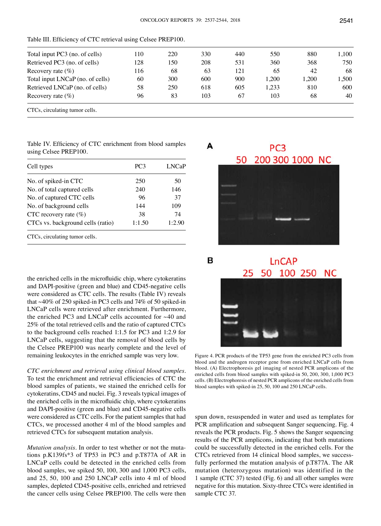| Total input PC3 (no. of cells)   | 110 | 220 | 330 | 440 | 550   | 880   | 1,100 |
|----------------------------------|-----|-----|-----|-----|-------|-------|-------|
| Retrieved PC3 (no. of cells)     | 128 | 150 | 208 | 531 | 360   | 368   | 750   |
| Recovery rate $(\%)$             | 116 | 68  | 63  | 121 | 65    | 42    | 68    |
| Total input LNCaP (no. of cells) | 60  | 300 | 600 | 900 | 1.200 | 1.200 | 1,500 |
| Retrieved LNCaP (no. of cells)   | 58  | 250 | 618 | 605 | 1.233 | 810   | 600   |
| Recovery rate $(\% )$            | 96  | 83  | 103 | 67  | 103   | 68    | 40    |
| CTCs, circulating tumor cells.   |     |     |     |     |       |       |       |

Table III. Efficiency of CTC retrieval using Celsee PREP100.

Table IV. Efficiency of CTC enrichment from blood samples using Celsee PREP100.

| Cell types                        | PC3    | <b>LNCaP</b> |
|-----------------------------------|--------|--------------|
| No. of spiked-in CTC              | 250    | 50           |
| No. of total captured cells       | 240    | 146          |
| No. of captured CTC cells         | 96     | 37           |
| No. of background cells           | 144    | 109          |
| CTC recovery rate $(\%)$          | 38     | 74           |
| CTCs vs. background cells (ratio) | 1:1.50 | 1:2.90       |
| CTCs, circulating tumor cells.    |        |              |

the enriched cells in the microfluidic chip, where cytokeratins and DAPI-positive (green and blue) and CD45-negative cells were considered as CTC cells. The results (Table IV) reveals that  $\sim$ 40% of 250 spiked-in PC3 cells and 74% of 50 spiked-in LNCaP cells were retrieved after enrichment. Furthermore, the enriched PC3 and LNCaP cells accounted for ~40 and 25% of the total retrieved cells and the ratio of captured CTCs to the background cells reached 1:1.5 for PC3 and 1:2.9 for LNCaP cells, suggesting that the removal of blood cells by the Celsee PREP100 was nearly complete and the level of remaining leukocytes in the enriched sample was very low.

*CTC enrichment and retrieval using clinical blood samples.*  To test the enrichment and retrieval efficiencies of CTC the blood samples of patients, we stained the enriched cells for cytokeratins, CD45 and nuclei. Fig. 3 reveals typical images of the enriched cells in the microfluidic chip, where cytokeratins and DAPI-positive (green and blue) and CD45-negative cells were considered as CTC cells. For the patient samples that had CTCs, we processed another 4 ml of the blood samples and retrieved CTCs for subsequent mutation analysis.

*Mutation analysis.* In order to test whether or not the mutations p.K139fs\*3 of TP53 in PC3 and p.T877A of AR in LNCaP cells could be detected in the enriched cells from blood samples, we spiked 50, 100, 300 and 1,000 PC3 cells, and 25, 50, 100 and 250 LNCaP cells into 4 ml of blood samples, depleted CD45-positive cells, enriched and retrieved the cancer cells using Celsee PREP100. The cells were then





Figure 4. PCR products of the TP53 gene from the enriched PC3 cells from blood and the androgen receptor gene from enriched LNCaP cells from blood. (A) Electrophoresis gel imaging of nested PCR amplicons of the enriched cells from blood samples with spiked-in 50, 200, 300, 1,000 PC3 cells. (B) Electrophoresis of nested PCR amplicons of the enriched cells from blood samples with spiked-in 25, 50, 100 and 250 LNCaP cells.

spun down, resuspended in water and used as templates for PCR amplification and subsequent Sanger sequencing. Fig. 4 reveals the PCR products. Fig. 5 shows the Sanger sequencing results of the PCR amplicons, indicating that both mutations could be successfully detected in the enriched cells. For the CTCs retrieved from 14 clinical blood samples, we successfully performed the mutation analysis of p.T877A. The AR mutation (heterozygous mutation) was identified in the 1 sample (CTC 37) tested (Fig. 6) and all other samples were negative for this mutation. Sixty‑three CTCs were identified in sample CTC 37.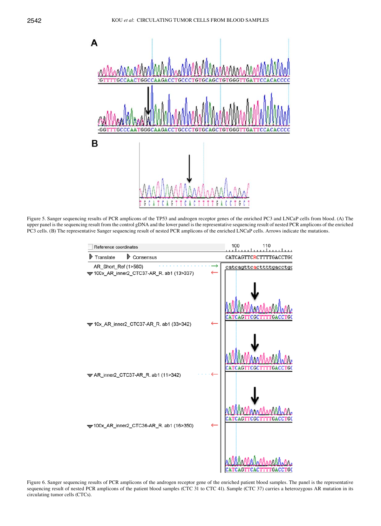

Figure 5. Sanger sequencing results of PCR amplicons of the TP53 and androgen receptor genes of the enriched PC3 and LNCaP cells from blood. (A) The upper panel is the sequencing result from the control gDNA and the lower panel is the representative sequencing result of nested PCR amplicons of the enriched PC3 cells. (B) The representative Sanger sequencing result of nested PCR amplicons of the enriched LNCaP cells. Arrows indicate the mutations.



Figure 6. Sanger sequencing results of PCR amplicons of the androgen receptor gene of the enriched patient blood samples. The panel is the representative sequencing result of nested PCR amplicons of the patient blood samples (CTC 31 to CTC 41). Sample (CTC 37) carries a heterozygous AR mutation in its circulating tumor cells (CTCs).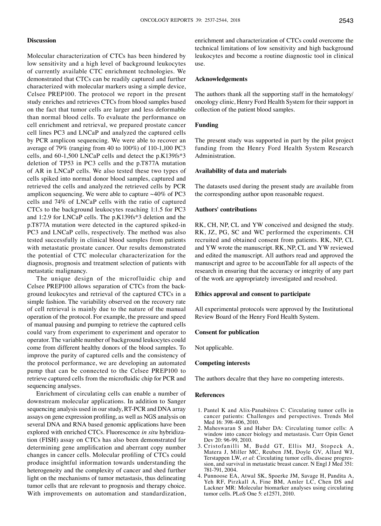#### **Discussion**

Molecular characterization of CTCs has been hindered by low sensitivity and a high level of background leukocytes of currently available CTC enrichment technologies. We demonstrated that CTCs can be readily captured and further characterized with molecular markers using a simple device, Celsee PREP100. The protocol we report in the present study enriches and retrieves CTCs from blood samples based on the fact that tumor cells are larger and less deformable than normal blood cells. To evaluate the performance on cell enrichment and retrieval, we prepared prostate cancer cell lines PC3 and LNCaP and analyzed the captured cells by PCR amplicon sequencing. We were able to recover an average of 79% (ranging from 40 to 100%) of 110-1,100 PC3 cells, and 60-1,500 LNCaP cells and detect the p.K139fs\*3 deletion of TP53 in PC3 cells and the p.T877A mutation of AR in LNCaP cells. We also tested these two types of cells spiked into normal donor blood samples, captured and retrieved the cells and analyzed the retrieved cells by PCR amplicon sequencing. We were able to capture  $~40\%$  of PC3 cells and 74% of LNCaP cells with the ratio of captured CTCs to the background leukocytes reaching 1:1.5 for PC3 and 1:2.9 for LNCaP cells. The p.K139fs\*3 deletion and the p.T877A mutation were detected in the captured spiked-in PC3 and LNCaP cells, respectively. The method was also tested successfully in clinical blood samples from patients with metastatic prostate cancer. Our results demonstrated the potential of CTC molecular characterization for the diagnosis, prognosis and treatment selection of patients with metastatic malignancy.

The unique design of the microfluidic chip and Celsee PREP100 allows separation of CTCs from the background leukocytes and retrieval of the captured CTCs in a simple fashion. The variability observed on the recovery rate of cell retrieval is mainly due to the nature of the manual operation of the protocol. For example, the pressure and speed of manual pausing and pumping to retrieve the captured cells could vary from experiment to experiment and operator to operator. The variable number of background leukocytes could come from different healthy donors of the blood samples. To improve the purity of captured cells and the consistency of the protocol performance, we are developing an automated pump that can be connected to the Celsee PREP100 to retrieve captured cells from the microfluidic chip for PCR and sequencing analyses.

Enrichment of circulating cells can enable a number of downstream molecular applications. In addition to Sanger sequencing analysis used in our study, RT-PCR and DNA array assays on gene expression profiling, as well as NGS analysis on several DNA and RNA based genomic applications have been explored with enriched CTCs. Fluorescence *in situ* hybridization (FISH) assay on CTCs has also been demonstrated for determining gene amplification and aberrant copy number changes in cancer cells. Molecular profiling of CTCs could produce insightful information towards understanding the heterogeneity and the complexity of cancer and shed further light on the mechanisms of tumor metastasis, thus delineating tumor cells that are relevant to prognosis and therapy choice. With improvements on automation and standardization, enrichment and characterization of CTCs could overcome the technical limitations of low sensitivity and high background leukocytes and become a routine diagnostic tool in clinical use.

#### **Acknowledgements**

The authors thank all the supporting staff in the hematology/ oncology clinic, Henry Ford Health System for their support in collection of the patient blood samples.

#### **Funding**

The present study was supported in part by the pilot project funding from the Henry Ford Health System Research Administration.

#### **Availability of data and materials**

The datasets used during the present study are available from the corresponding author upon reasonable request.

#### **Authors' contributions**

RK, CH, NP, CL and YW conceived and designed the study. RK, JZ, PG, SC and WC performed the experiments. CH recruited and obtained consent from patients. RK, NP, CL and YW wrote the manuscript. RK, NP, CL and YW reviewed and edited the manuscript. All authors read and approved the manuscript and agree to be accounTable for all aspects of the research in ensuring that the accuracy or integrity of any part of the work are appropriately investigated and resolved.

#### **Ethics approval and consent to participate**

All experimental protocols were approved by the Institutional Review Board of the Henry Ford Health System.

#### **Consent for publication**

Not applicable.

#### **Competing interests**

The authors decalre that they have no competing interests.

#### **References**

- 1. Pantel K and Alix-Panabières C: Circulating tumor cells in cancer patients: Challenges and perspectives. Trends Mol Med 16: 398-406, 2010.
- 2. Maheswaran S and Haber DA: Circulating tumor cells: A window into cancer biology and metastasis. Curr Opin Genet Dev 20: 96-99, 2010.
- 3. Cristofanilli M, Budd GT, Ellis MJ, Stopeck A, Matera J, Miller MC, Reuben JM, Doyle GV, Allard WJ, Terstappen LW, *et al*: Circulating tumor cells, disease progression, and survival in metastatic breast cancer. N Engl J Med 351: 781-791, 2004.
- 4. Punnoose EA, Atwal SK, Spoerke JM, Savage H, Pandita A, Yeh RF, Pirzkall A, Fine BM, Amler LC, Chen DS and Lackner MR: Molecular biomarker analyses using circulating tumor cells. PLoS One 5: e12571, 2010.